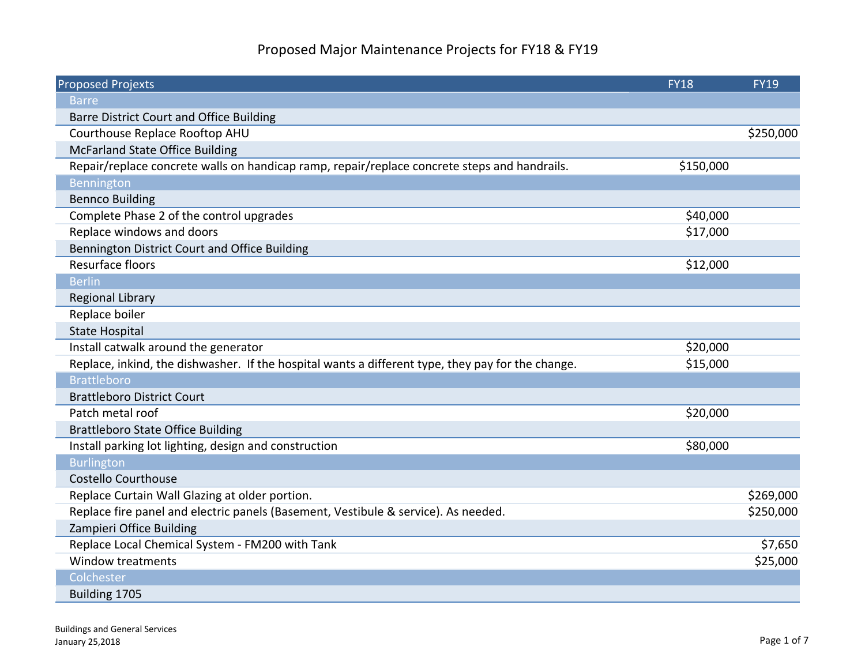## Proposed Major Maintenance Projects for FY18 & FY19

| <b>Proposed Projexts</b>                                                                          | <b>FY18</b> | <b>FY19</b> |
|---------------------------------------------------------------------------------------------------|-------------|-------------|
| <b>Barre</b>                                                                                      |             |             |
| Barre District Court and Office Building                                                          |             |             |
| Courthouse Replace Rooftop AHU                                                                    |             | \$250,000   |
| <b>McFarland State Office Building</b>                                                            |             |             |
| Repair/replace concrete walls on handicap ramp, repair/replace concrete steps and handrails.      | \$150,000   |             |
| Bennington                                                                                        |             |             |
| <b>Bennco Building</b>                                                                            |             |             |
| Complete Phase 2 of the control upgrades                                                          | \$40,000    |             |
| Replace windows and doors                                                                         | \$17,000    |             |
| Bennington District Court and Office Building                                                     |             |             |
| Resurface floors                                                                                  | \$12,000    |             |
| <b>Berlin</b>                                                                                     |             |             |
| <b>Regional Library</b>                                                                           |             |             |
| Replace boiler                                                                                    |             |             |
| <b>State Hospital</b>                                                                             |             |             |
| Install catwalk around the generator                                                              | \$20,000    |             |
| Replace, inkind, the dishwasher. If the hospital wants a different type, they pay for the change. | \$15,000    |             |
| <b>Brattleboro</b>                                                                                |             |             |
| <b>Brattleboro District Court</b>                                                                 |             |             |
| Patch metal roof                                                                                  | \$20,000    |             |
| <b>Brattleboro State Office Building</b>                                                          |             |             |
| Install parking lot lighting, design and construction                                             | \$80,000    |             |
| <b>Burlington</b>                                                                                 |             |             |
| Costello Courthouse                                                                               |             |             |
| Replace Curtain Wall Glazing at older portion.                                                    |             | \$269,000   |
| Replace fire panel and electric panels (Basement, Vestibule & service). As needed.                |             | \$250,000   |
| Zampieri Office Building                                                                          |             |             |
| Replace Local Chemical System - FM200 with Tank                                                   |             | \$7,650     |
| Window treatments                                                                                 |             | \$25,000    |
| Colchester                                                                                        |             |             |
| Building 1705                                                                                     |             |             |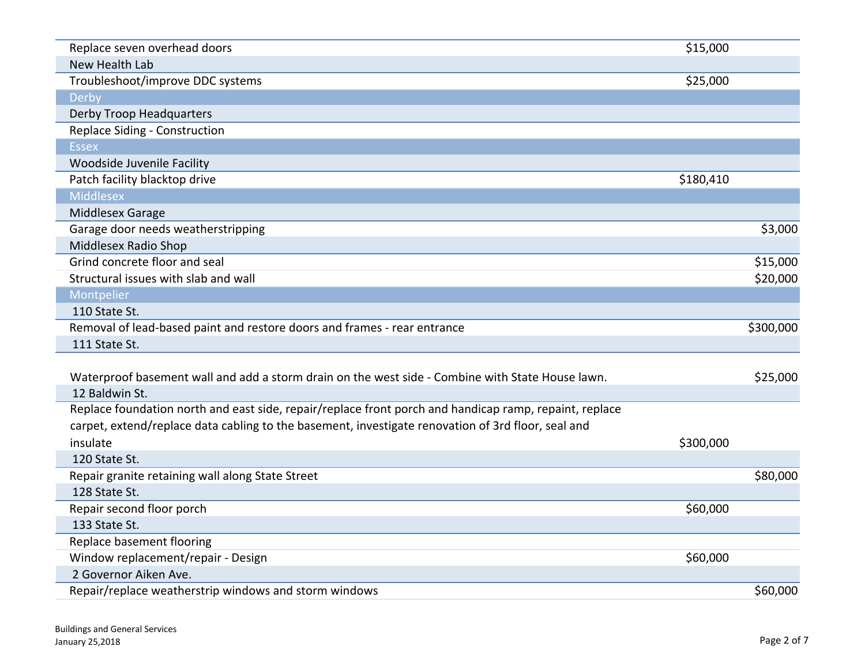| Replace seven overhead doors                                                                           | \$15,000  |           |
|--------------------------------------------------------------------------------------------------------|-----------|-----------|
| New Health Lab                                                                                         |           |           |
| Troubleshoot/improve DDC systems                                                                       | \$25,000  |           |
| Derby                                                                                                  |           |           |
| <b>Derby Troop Headquarters</b>                                                                        |           |           |
| Replace Siding - Construction                                                                          |           |           |
| <b>Essex</b>                                                                                           |           |           |
| Woodside Juvenile Facility                                                                             |           |           |
| Patch facility blacktop drive                                                                          | \$180,410 |           |
| <b>Middlesex</b>                                                                                       |           |           |
| Middlesex Garage                                                                                       |           |           |
| Garage door needs weatherstripping                                                                     |           | \$3,000   |
| Middlesex Radio Shop                                                                                   |           |           |
| Grind concrete floor and seal                                                                          |           | \$15,000  |
| Structural issues with slab and wall                                                                   |           | \$20,000  |
| Montpelier                                                                                             |           |           |
| 110 State St.                                                                                          |           |           |
|                                                                                                        |           |           |
| Removal of lead-based paint and restore doors and frames - rear entrance                               |           | \$300,000 |
| 111 State St.                                                                                          |           |           |
|                                                                                                        |           |           |
| Waterproof basement wall and add a storm drain on the west side - Combine with State House lawn.       |           | \$25,000  |
| 12 Baldwin St.                                                                                         |           |           |
| Replace foundation north and east side, repair/replace front porch and handicap ramp, repaint, replace |           |           |
| carpet, extend/replace data cabling to the basement, investigate renovation of 3rd floor, seal and     |           |           |
| insulate                                                                                               | \$300,000 |           |
| 120 State St.                                                                                          |           |           |
| Repair granite retaining wall along State Street                                                       |           | \$80,000  |
| 128 State St.                                                                                          |           |           |
| Repair second floor porch                                                                              | \$60,000  |           |
| 133 State St.                                                                                          |           |           |
| Replace basement flooring                                                                              |           |           |
| Window replacement/repair - Design                                                                     | \$60,000  |           |
| 2 Governor Aiken Ave.<br>Repair/replace weatherstrip windows and storm windows                         |           |           |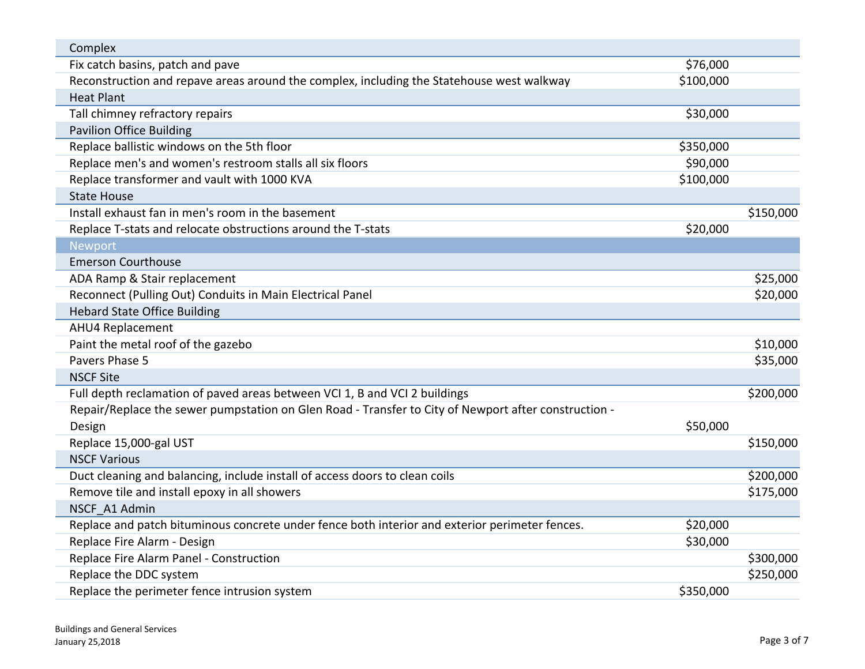| Complex                                                                                              |           |           |
|------------------------------------------------------------------------------------------------------|-----------|-----------|
| Fix catch basins, patch and pave                                                                     | \$76,000  |           |
| Reconstruction and repave areas around the complex, including the Statehouse west walkway            | \$100,000 |           |
| <b>Heat Plant</b>                                                                                    |           |           |
| Tall chimney refractory repairs                                                                      | \$30,000  |           |
| <b>Pavilion Office Building</b>                                                                      |           |           |
| Replace ballistic windows on the 5th floor                                                           | \$350,000 |           |
| Replace men's and women's restroom stalls all six floors                                             | \$90,000  |           |
| Replace transformer and vault with 1000 KVA                                                          | \$100,000 |           |
| <b>State House</b>                                                                                   |           |           |
| Install exhaust fan in men's room in the basement                                                    |           | \$150,000 |
| Replace T-stats and relocate obstructions around the T-stats                                         | \$20,000  |           |
| <b>Newport</b>                                                                                       |           |           |
| <b>Emerson Courthouse</b>                                                                            |           |           |
| ADA Ramp & Stair replacement                                                                         |           | \$25,000  |
| Reconnect (Pulling Out) Conduits in Main Electrical Panel                                            |           | \$20,000  |
| <b>Hebard State Office Building</b>                                                                  |           |           |
| AHU4 Replacement                                                                                     |           |           |
| Paint the metal roof of the gazebo                                                                   |           | \$10,000  |
| Pavers Phase 5                                                                                       |           | \$35,000  |
| <b>NSCF Site</b>                                                                                     |           |           |
| Full depth reclamation of paved areas between VCI 1, B and VCI 2 buildings                           |           | \$200,000 |
| Repair/Replace the sewer pumpstation on Glen Road - Transfer to City of Newport after construction - |           |           |
| Design                                                                                               | \$50,000  |           |
| Replace 15,000-gal UST                                                                               |           | \$150,000 |
| <b>NSCF Various</b>                                                                                  |           |           |
| Duct cleaning and balancing, include install of access doors to clean coils                          |           | \$200,000 |
| Remove tile and install epoxy in all showers                                                         |           | \$175,000 |
| NSCF A1 Admin                                                                                        |           |           |
| Replace and patch bituminous concrete under fence both interior and exterior perimeter fences.       | \$20,000  |           |
| Replace Fire Alarm - Design                                                                          | \$30,000  |           |
| Replace Fire Alarm Panel - Construction                                                              |           | \$300,000 |
| Replace the DDC system                                                                               |           | \$250,000 |
| Replace the perimeter fence intrusion system                                                         | \$350,000 |           |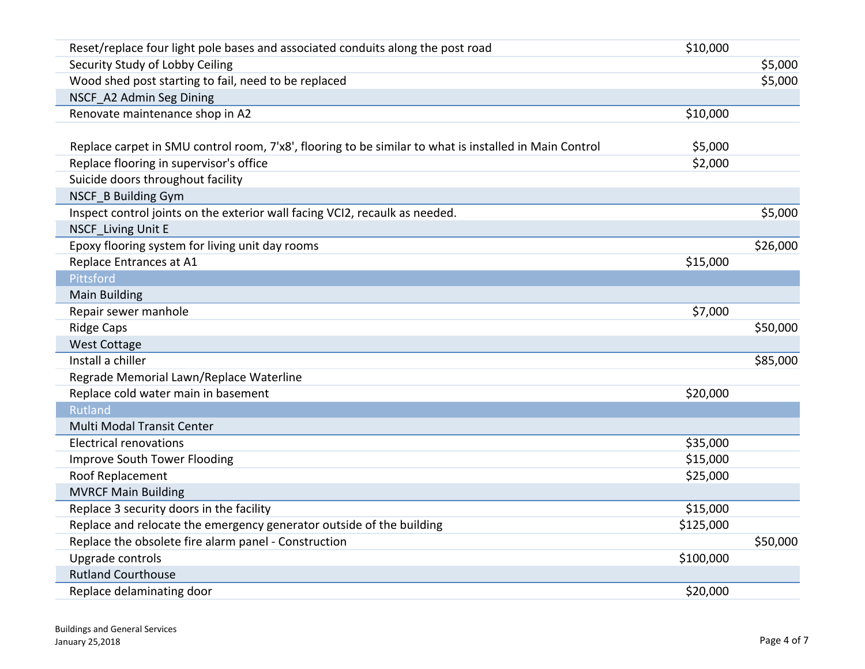| Reset/replace four light pole bases and associated conduits along the post road                        | \$10,000  |          |
|--------------------------------------------------------------------------------------------------------|-----------|----------|
| Security Study of Lobby Ceiling                                                                        |           | \$5,000  |
| Wood shed post starting to fail, need to be replaced                                                   |           | \$5,000  |
| NSCF A2 Admin Seg Dining                                                                               |           |          |
| Renovate maintenance shop in A2                                                                        | \$10,000  |          |
|                                                                                                        |           |          |
| Replace carpet in SMU control room, 7'x8', flooring to be similar to what is installed in Main Control | \$5,000   |          |
| Replace flooring in supervisor's office                                                                | \$2,000   |          |
| Suicide doors throughout facility                                                                      |           |          |
| NSCF_B Building Gym                                                                                    |           |          |
| Inspect control joints on the exterior wall facing VCI2, recaulk as needed.                            |           | \$5,000  |
| <b>NSCF</b> Living Unit E                                                                              |           |          |
| Epoxy flooring system for living unit day rooms                                                        |           | \$26,000 |
| Replace Entrances at A1                                                                                | \$15,000  |          |
| Pittsford                                                                                              |           |          |
| <b>Main Building</b>                                                                                   |           |          |
| Repair sewer manhole                                                                                   | \$7,000   |          |
| <b>Ridge Caps</b>                                                                                      |           | \$50,000 |
| <b>West Cottage</b>                                                                                    |           |          |
| Install a chiller                                                                                      |           | \$85,000 |
| Regrade Memorial Lawn/Replace Waterline                                                                |           |          |
| Replace cold water main in basement                                                                    | \$20,000  |          |
| <b>Rutland</b>                                                                                         |           |          |
| Multi Modal Transit Center                                                                             |           |          |
| <b>Electrical renovations</b>                                                                          | \$35,000  |          |
| Improve South Tower Flooding                                                                           | \$15,000  |          |
| Roof Replacement                                                                                       | \$25,000  |          |
| <b>MVRCF Main Building</b>                                                                             |           |          |
| Replace 3 security doors in the facility                                                               | \$15,000  |          |
| Replace and relocate the emergency generator outside of the building                                   | \$125,000 |          |
| Replace the obsolete fire alarm panel - Construction                                                   |           | \$50,000 |
| Upgrade controls                                                                                       | \$100,000 |          |
| <b>Rutland Courthouse</b>                                                                              |           |          |
| Replace delaminating door                                                                              | \$20,000  |          |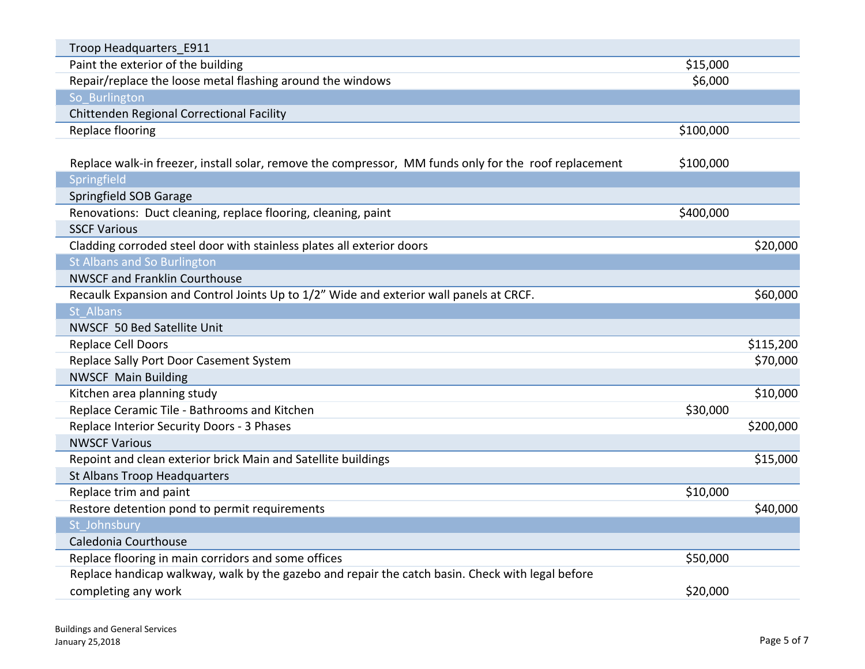| Troop Headquarters_E911                                                                               |           |           |
|-------------------------------------------------------------------------------------------------------|-----------|-----------|
| Paint the exterior of the building                                                                    | \$15,000  |           |
| Repair/replace the loose metal flashing around the windows                                            | \$6,000   |           |
| So Burlington                                                                                         |           |           |
| Chittenden Regional Correctional Facility                                                             |           |           |
| Replace flooring                                                                                      | \$100,000 |           |
|                                                                                                       |           |           |
| Replace walk-in freezer, install solar, remove the compressor, MM funds only for the roof replacement | \$100,000 |           |
| Springfield                                                                                           |           |           |
| Springfield SOB Garage                                                                                |           |           |
| Renovations: Duct cleaning, replace flooring, cleaning, paint                                         | \$400,000 |           |
| <b>SSCF Various</b>                                                                                   |           |           |
| Cladding corroded steel door with stainless plates all exterior doors                                 |           | \$20,000  |
| St Albans and So Burlington                                                                           |           |           |
| <b>NWSCF and Franklin Courthouse</b>                                                                  |           |           |
| Recaulk Expansion and Control Joints Up to 1/2" Wide and exterior wall panels at CRCF.                |           | \$60,000  |
| St Albans                                                                                             |           |           |
| NWSCF 50 Bed Satellite Unit                                                                           |           |           |
| Replace Cell Doors                                                                                    |           | \$115,200 |
| Replace Sally Port Door Casement System                                                               |           | \$70,000  |
| <b>NWSCF Main Building</b>                                                                            |           |           |
| Kitchen area planning study                                                                           |           | \$10,000  |
| Replace Ceramic Tile - Bathrooms and Kitchen                                                          | \$30,000  |           |
| Replace Interior Security Doors - 3 Phases                                                            |           | \$200,000 |
| <b>NWSCF Various</b>                                                                                  |           |           |
| Repoint and clean exterior brick Main and Satellite buildings                                         |           | \$15,000  |
| St Albans Troop Headquarters                                                                          |           |           |
| Replace trim and paint                                                                                | \$10,000  |           |
| Restore detention pond to permit requirements                                                         |           | \$40,000  |
| St Johnsbury                                                                                          |           |           |
| Caledonia Courthouse                                                                                  |           |           |
| Replace flooring in main corridors and some offices                                                   | \$50,000  |           |
| Replace handicap walkway, walk by the gazebo and repair the catch basin. Check with legal before      |           |           |
| completing any work                                                                                   | \$20,000  |           |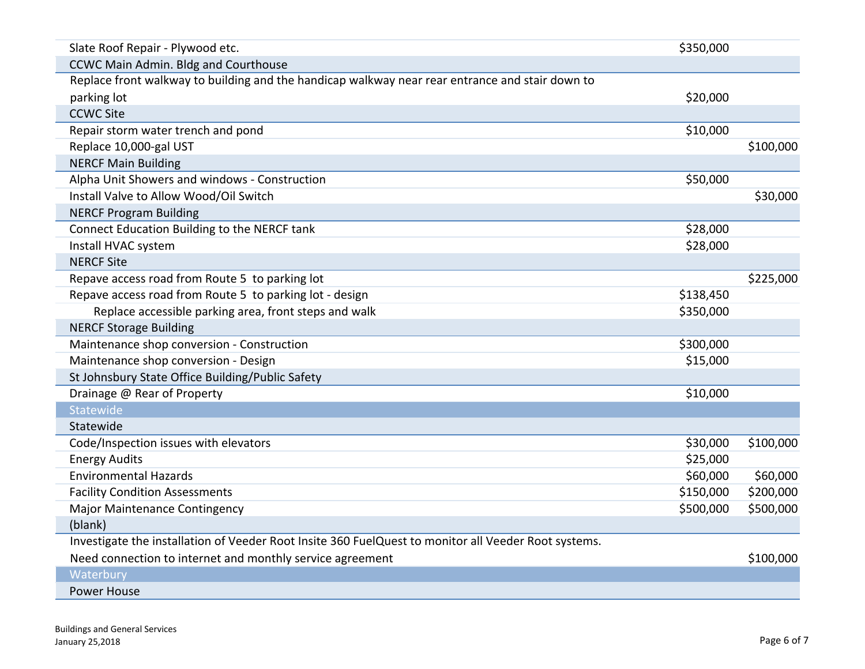| Slate Roof Repair - Plywood etc.                                                                     | \$350,000 |           |
|------------------------------------------------------------------------------------------------------|-----------|-----------|
| <b>CCWC Main Admin. Bldg and Courthouse</b>                                                          |           |           |
| Replace front walkway to building and the handicap walkway near rear entrance and stair down to      |           |           |
| parking lot                                                                                          | \$20,000  |           |
| <b>CCWC Site</b>                                                                                     |           |           |
| Repair storm water trench and pond                                                                   | \$10,000  |           |
| Replace 10,000-gal UST                                                                               |           | \$100,000 |
| <b>NERCF Main Building</b>                                                                           |           |           |
| Alpha Unit Showers and windows - Construction                                                        | \$50,000  |           |
| Install Valve to Allow Wood/Oil Switch                                                               |           | \$30,000  |
| <b>NERCF Program Building</b>                                                                        |           |           |
| Connect Education Building to the NERCF tank                                                         | \$28,000  |           |
| Install HVAC system                                                                                  | \$28,000  |           |
| <b>NERCF Site</b>                                                                                    |           |           |
| Repave access road from Route 5 to parking lot                                                       |           | \$225,000 |
| Repave access road from Route 5 to parking lot - design                                              | \$138,450 |           |
| Replace accessible parking area, front steps and walk                                                | \$350,000 |           |
| <b>NERCF Storage Building</b>                                                                        |           |           |
| Maintenance shop conversion - Construction                                                           | \$300,000 |           |
| Maintenance shop conversion - Design                                                                 | \$15,000  |           |
| St Johnsbury State Office Building/Public Safety                                                     |           |           |
| Drainage @ Rear of Property                                                                          | \$10,000  |           |
| Statewide                                                                                            |           |           |
| Statewide                                                                                            |           |           |
| Code/Inspection issues with elevators                                                                | \$30,000  | \$100,000 |
| <b>Energy Audits</b>                                                                                 | \$25,000  |           |
| <b>Environmental Hazards</b>                                                                         | \$60,000  | \$60,000  |
| <b>Facility Condition Assessments</b>                                                                | \$150,000 | \$200,000 |
| Major Maintenance Contingency                                                                        | \$500,000 | \$500,000 |
| (blank)                                                                                              |           |           |
| Investigate the installation of Veeder Root Insite 360 FuelQuest to monitor all Veeder Root systems. |           |           |
| Need connection to internet and monthly service agreement                                            |           | \$100,000 |
| Waterbury                                                                                            |           |           |
| Power House                                                                                          |           |           |